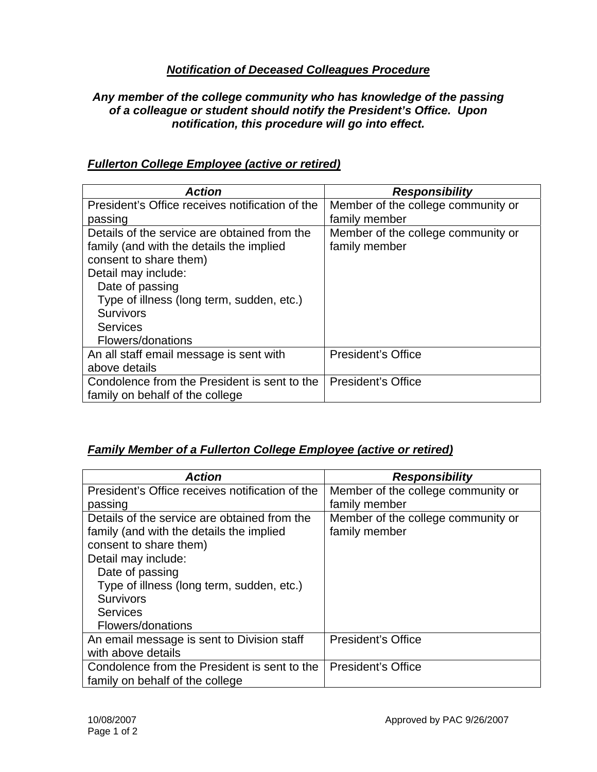### *Notification of Deceased Colleagues Procedure*

#### *Any member of the college community who has knowledge of the passing of a colleague or student should notify the President's Office. Upon notification, this procedure will go into effect.*

| <b>Action</b>                                   | <b>Responsibility</b>              |
|-------------------------------------------------|------------------------------------|
| President's Office receives notification of the | Member of the college community or |
| passing                                         | family member                      |
| Details of the service are obtained from the    | Member of the college community or |
| family (and with the details the implied        | family member                      |
| consent to share them)                          |                                    |
| Detail may include:                             |                                    |
| Date of passing                                 |                                    |
| Type of illness (long term, sudden, etc.)       |                                    |
| <b>Survivors</b>                                |                                    |
| <b>Services</b>                                 |                                    |
| Flowers/donations                               |                                    |
| An all staff email message is sent with         | <b>President's Office</b>          |
| above details                                   |                                    |
| Condolence from the President is sent to the    | <b>President's Office</b>          |
| family on behalf of the college                 |                                    |

### *Fullerton College Employee (active or retired)*

### *Family Member of a Fullerton College Employee (active or retired)*

| <b>Action</b>                                   | <b>Responsibility</b>              |
|-------------------------------------------------|------------------------------------|
| President's Office receives notification of the | Member of the college community or |
| passing                                         | family member                      |
| Details of the service are obtained from the    | Member of the college community or |
| family (and with the details the implied        | family member                      |
| consent to share them)                          |                                    |
| Detail may include:                             |                                    |
| Date of passing                                 |                                    |
| Type of illness (long term, sudden, etc.)       |                                    |
| <b>Survivors</b>                                |                                    |
| <b>Services</b>                                 |                                    |
| Flowers/donations                               |                                    |
| An email message is sent to Division staff      | <b>President's Office</b>          |
| with above details                              |                                    |
| Condolence from the President is sent to the    | <b>President's Office</b>          |
| family on behalf of the college                 |                                    |